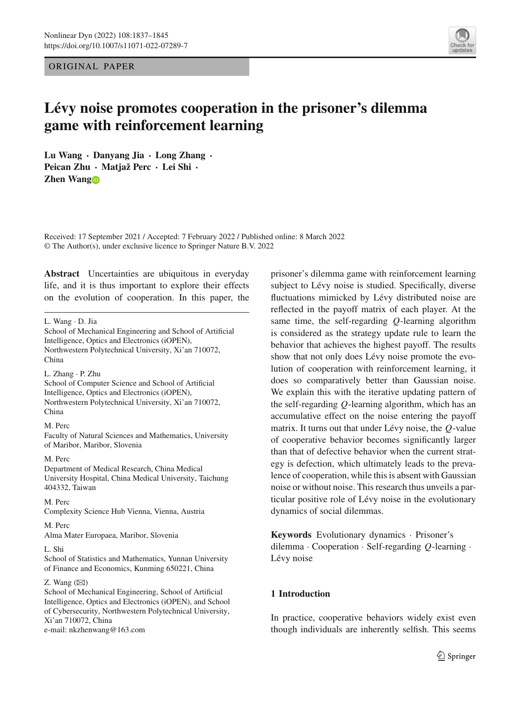ORIGINAL PAPER



# **Lévy noise promotes cooperation in the prisoner's dilemma game with reinforcement learning**

**Lu Wang · Danyang Jia · Long Zhang · Peican Zhu · Matjaž Perc · Lei Shi · Zhen Wan[g](http://orcid.org/0000-0001-5007-6327)**

Received: 17 September 2021 / Accepted: 7 February 2022 / Published online: 8 March 2022 © The Author(s), under exclusive licence to Springer Nature B.V. 2022

**Abstract** Uncertainties are ubiquitous in everyday life, and it is thus important to explore their effects on the evolution of cooperation. In this paper, the

L. Wang · D. Jia

L. Zhang · P. Zhu School of Computer Science and School of Artificial Intelligence, Optics and Electronics (iOPEN), Northwestern Polytechnical University, Xi'an 710072, China

#### M. Perc

Faculty of Natural Sciences and Mathematics, University of Maribor, Maribor, Slovenia

M. Perc

Department of Medical Research, China Medical University Hospital, China Medical University, Taichung 404332, Taiwan

M. Perc

Complexity Science Hub Vienna, Vienna, Austria

#### M. Perc Alma Mater Europaea, Maribor, Slovenia

L. Shi

School of Statistics and Mathematics, Yunnan University of Finance and Economics, Kunming 650221, China

## Z. Wang  $(\boxtimes)$

School of Mechanical Engineering, School of Artificial Intelligence, Optics and Electronics (iOPEN), and School of Cybersecurity, Northwestern Polytechnical University, Xi'an 710072, China e-mail: nkzhenwang@163.com

prisoner's dilemma game with reinforcement learning subject to Lévy noise is studied. Specifically, diverse fluctuations mimicked by Lévy distributed noise are reflected in the payoff matrix of each player. At the same time, the self-regarding *Q*-learning algorithm is considered as the strategy update rule to learn the behavior that achieves the highest payoff. The results show that not only does Lévy noise promote the evolution of cooperation with reinforcement learning, it does so comparatively better than Gaussian noise. We explain this with the iterative updating pattern of the self-regarding *Q*-learning algorithm, which has an accumulative effect on the noise entering the payoff matrix. It turns out that under Lévy noise, the *Q*-value of cooperative behavior becomes significantly larger than that of defective behavior when the current strategy is defection, which ultimately leads to the prevalence of cooperation, while this is absent with Gaussian noise or without noise. This research thus unveils a particular positive role of Lévy noise in the evolutionary dynamics of social dilemmas.

**Keywords** Evolutionary dynamics · Prisoner's dilemma · Cooperation · Self-regarding *Q*-learning · Lévy noise

# **1 Introduction**

In practice, cooperative behaviors widely exist even though individuals are inherently selfish. This seems

School of Mechanical Engineering and School of Artificial Intelligence, Optics and Electronics (iOPEN), Northwestern Polytechnical University, Xi'an 710072, China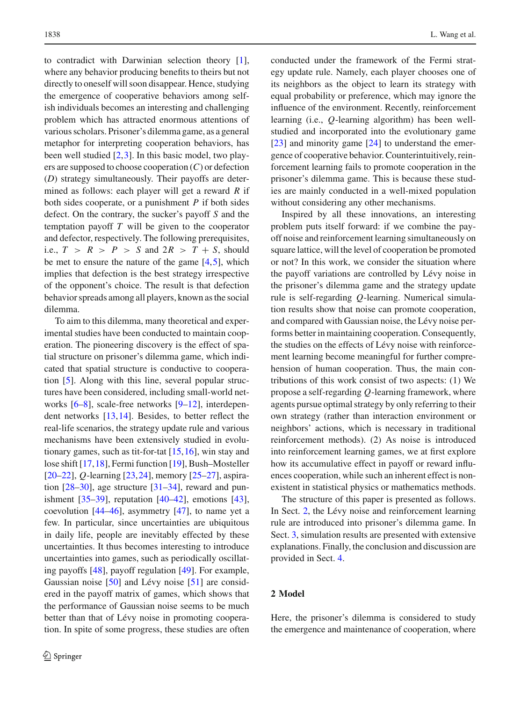to contradict with Darwinian selection theory [\[1](#page-7-0)], where any behavior producing benefits to theirs but not directly to oneself will soon disappear. Hence, studying the emergence of cooperative behaviors among selfish individuals becomes an interesting and challenging problem which has attracted enormous attentions of various scholars. Prisoner's dilemma game, as a general metaphor for interpreting cooperation behaviors, has been well studied  $[2,3]$  $[2,3]$  $[2,3]$ . In this basic model, two players are supposed to choose cooperation (*C*) or defection (*D*) strategy simultaneously. Their payoffs are determined as follows: each player will get a reward *R* if both sides cooperate, or a punishment *P* if both sides defect. On the contrary, the sucker's payoff *S* and the temptation payoff *T* will be given to the cooperator and defector, respectively. The following prerequisites, i.e.,  $T > R > P > S$  and  $2R > T + S$ , should be met to ensure the nature of the game  $[4,5]$  $[4,5]$  $[4,5]$ , which implies that defection is the best strategy irrespective of the opponent's choice. The result is that defection behavior spreads among all players, known as the social dilemma.

To aim to this dilemma, many theoretical and experimental studies have been conducted to maintain cooperation. The pioneering discovery is the effect of spatial structure on prisoner's dilemma game, which indicated that spatial structure is conductive to cooperation [\[5](#page-7-4)]. Along with this line, several popular structures have been considered, including small-world net-works [\[6](#page-7-5)[–8\]](#page-7-6), scale-free networks [\[9](#page-7-7)[–12](#page-7-8)], interdependent networks [\[13,](#page-7-9)[14\]](#page-7-10). Besides, to better reflect the real-life scenarios, the strategy update rule and various mechanisms have been extensively studied in evolutionary games, such as tit-for-tat  $[15,16]$  $[15,16]$  $[15,16]$ , win stay and lose shift [\[17,](#page-7-13)[18\]](#page-7-14), Fermi function [\[19\]](#page-7-15), Bush–Mosteller [\[20](#page-7-16)[–22\]](#page-8-0), *Q*-learning [\[23](#page-8-1),[24\]](#page-8-2), memory [\[25](#page-8-3)[–27\]](#page-8-4), aspiration [\[28](#page-8-5)[–30\]](#page-8-6), age structure [\[31](#page-8-7)[–34](#page-8-8)], reward and punishment [\[35](#page-8-9)[–39](#page-8-10)], reputation [\[40](#page-8-11)[–42\]](#page-8-12), emotions [\[43](#page-8-13)], coevolution  $[44–46]$  $[44–46]$ , asymmetry  $[47]$ , to name yet a few. In particular, since uncertainties are ubiquitous in daily life, people are inevitably effected by these uncertainties. It thus becomes interesting to introduce uncertainties into games, such as periodically oscillating payoffs [\[48\]](#page-8-17), payoff regulation [\[49\]](#page-8-18). For example, Gaussian noise [\[50](#page-8-19)] and Lévy noise [\[51](#page-8-20)] are considered in the payoff matrix of games, which shows that the performance of Gaussian noise seems to be much better than that of Lévy noise in promoting cooperation. In spite of some progress, these studies are often

conducted under the framework of the Fermi strategy update rule. Namely, each player chooses one of its neighbors as the object to learn its strategy with equal probability or preference, which may ignore the influence of the environment. Recently, reinforcement learning (i.e., *Q*-learning algorithm) has been wellstudied and incorporated into the evolutionary game [\[23\]](#page-8-1) and minority game [\[24](#page-8-2)] to understand the emergence of cooperative behavior. Counterintuitively, reinforcement learning fails to promote cooperation in the prisoner's dilemma game. This is because these studies are mainly conducted in a well-mixed population without considering any other mechanisms.

Inspired by all these innovations, an interesting problem puts itself forward: if we combine the payoff noise and reinforcement learning simultaneously on square lattice, will the level of cooperation be promoted or not? In this work, we consider the situation where the payoff variations are controlled by Lévy noise in the prisoner's dilemma game and the strategy update rule is self-regarding *Q*-learning. Numerical simulation results show that noise can promote cooperation, and compared with Gaussian noise, the Lévy noise performs better in maintaining cooperation. Consequently, the studies on the effects of Lévy noise with reinforcement learning become meaningful for further comprehension of human cooperation. Thus, the main contributions of this work consist of two aspects: (1) We propose a self-regarding *Q*-learning framework, where agents pursue optimal strategy by only referring to their own strategy (rather than interaction environment or neighbors' actions, which is necessary in traditional reinforcement methods). (2) As noise is introduced into reinforcement learning games, we at first explore how its accumulative effect in payoff or reward influences cooperation, while such an inherent effect is nonexistent in statistical physics or mathematics methods.

The structure of this paper is presented as follows. In Sect. [2,](#page-1-0) the Lévy noise and reinforcement learning rule are introduced into prisoner's dilemma game. In Sect. [3,](#page-3-0) simulation results are presented with extensive explanations. Finally, the conclusion and discussion are provided in Sect. [4.](#page-5-0)

## <span id="page-1-0"></span>**2 Model**

Here, the prisoner's dilemma is considered to study the emergence and maintenance of cooperation, where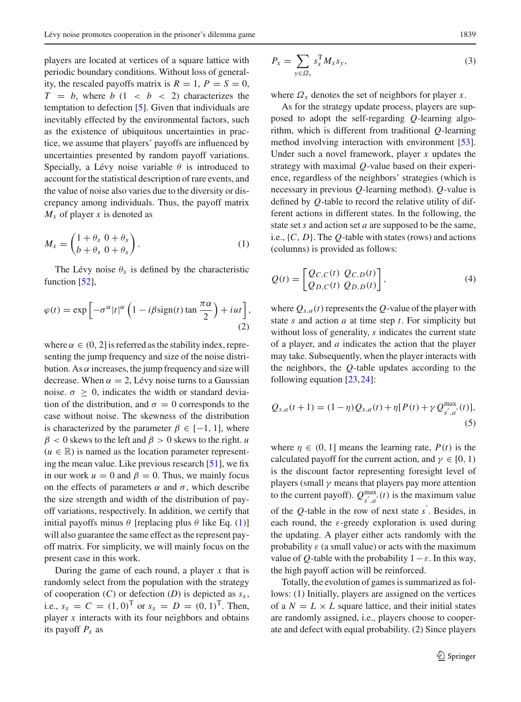players are located at vertices of a square lattice with periodic boundary conditions. Without loss of generality, the rescaled payoffs matrix is  $R = 1$ ,  $P = S = 0$ ,  $T = b$ , where  $b(1 \lt b \lt 2)$  characterizes the temptation to defection [\[5](#page-7-4)]. Given that individuals are inevitably effected by the environmental factors, such as the existence of ubiquitous uncertainties in practice, we assume that players' payoffs are influenced by uncertainties presented by random payoff variations. Specially, a Lévy noise variable  $\theta$  is introduced to account for the statistical description of rare events, and the value of noise also varies due to the diversity or discrepancy among individuals. Thus, the payoff matrix *Mx* of player *x* is denoted as

<span id="page-2-0"></span>
$$
M_x = \begin{pmatrix} 1 + \theta_x & 0 + \theta_x \\ b + \theta_x & 0 + \theta_x \end{pmatrix}.
$$
 (1)

The Lévy noise  $\theta_x$  is defined by the characteristic function [\[52](#page-8-21)],

$$
\varphi(t) = \exp\left[-\sigma^{\alpha}|t|^{\alpha}\left(1 - i\beta \text{sign}(t)\tan\frac{\pi\alpha}{2}\right) + iut\right],\tag{2}
$$

where  $\alpha \in (0, 2]$  is referred as the stability index, representing the jump frequency and size of the noise distribution. As  $\alpha$  increases, the jump frequency and size will decrease. When  $\alpha = 2$ , Lévy noise turns to a Gaussian noise.  $\sigma \geq 0$ , indicates the width or standard deviation of the distribution, and  $\sigma = 0$  corresponds to the case without noise. The skewness of the distribution is characterized by the parameter  $\beta \in [-1, 1]$ , where  $\beta$  < 0 skews to the left and  $\beta$  > 0 skews to the right. *u*  $(u \in \mathbb{R})$  is named as the location parameter representing the mean value. Like previous research [\[51\]](#page-8-20), we fix in our work  $u = 0$  and  $\beta = 0$ . Thus, we mainly focus on the effects of parameters  $\alpha$  and  $\sigma$ , which describe the size strength and width of the distribution of payoff variations, respectively. In addition, we certify that initial payoffs minus  $\theta$  [replacing plus  $\theta$  like Eq. [\(1\)](#page-2-0)] will also guarantee the same effect as the represent payoff matrix. For simplicity, we will mainly focus on the present case in this work.

<span id="page-2-1"></span>During the game of each round, a player *x* that is randomly select from the population with the strategy of cooperation  $(C)$  or defection  $(D)$  is depicted as  $s_x$ , i.e.,  $s_x = C = (1, 0)^T$  or  $s_x = D = (0, 1)^T$ . Then, player *x* interacts with its four neighbors and obtains its payoff *Px* as

$$
P_x = \sum_{y \in \Omega_x} s_x^{\mathrm{T}} M_x s_y,
$$
\n(3)

where  $\Omega_x$  denotes the set of neighbors for player *x*.

As for the strategy update process, players are supposed to adopt the self-regarding *Q*-learning algorithm, which is different from traditional *Q*-learning method involving interaction with environment [\[53](#page-8-22)]. Under such a novel framework, player *x* updates the strategy with maximal *Q*-value based on their experience, regardless of the neighbors' strategies (which is necessary in previous *Q*-learning method). *Q*-value is defined by *Q*-table to record the relative utility of different actions in different states. In the following, the state set *s* and action set *a* are supposed to be the same, i.e., {*C*, *D*}. The *Q*-table with states (rows) and actions (columns) is provided as follows:

$$
Q(t) = \begin{bmatrix} Q_{C,C}(t) & Q_{C,D}(t) \\ Q_{D,C}(t) & Q_{D,D}(t) \end{bmatrix},\tag{4}
$$

where  $Q_{s,a}(t)$  represents the Q-value of the player with state *s* and action *a* at time step *t*. For simplicity but without loss of generality, *s* indicates the current state of a player, and *a* indicates the action that the player may take. Subsequently, when the player interacts with the neighbors, the *Q*-table updates according to the following equation [\[23,](#page-8-1)[24\]](#page-8-2):

<span id="page-2-2"></span>
$$
Q_{s,a}(t+1) = (1-\eta)Q_{s,a}(t) + \eta [P(t) + \gamma Q_{s',a'}^{\max}(t)],
$$
\n(5)

where  $\eta \in (0, 1]$  means the learning rate,  $P(t)$  is the calculated payoff for the current action, and  $\gamma \in [0, 1)$ is the discount factor representing foresight level of players (small  $\gamma$  means that players pay more attention to the current payoff).  $Q_{s',a'}^{\max}(t)$  is the maximum value of the  $Q$ -table in the row of next state  $s'$ . Besides, in each round, the  $\varepsilon$ -greedy exploration is used during the updating. A player either acts randomly with the probability  $\varepsilon$  (a small value) or acts with the maximum value of *Q*-table with the probability  $1 - \varepsilon$ . In this way, the high payoff action will be reinforced.

Totally, the evolution of games is summarized as follows: (1) Initially, players are assigned on the vertices of a  $N = L \times L$  square lattice, and their initial states are randomly assigned, i.e., players choose to cooperate and defect with equal probability. (2) Since players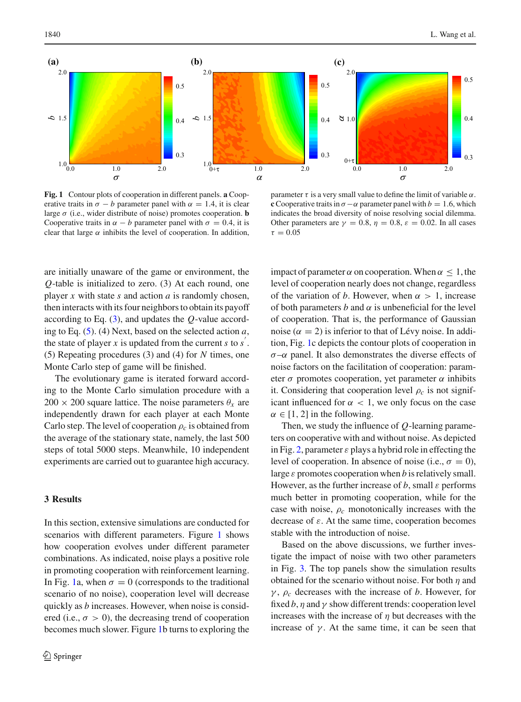

<span id="page-3-1"></span>**Fig. 1** Contour plots of cooperation in different panels. **a** Cooperative traits in  $\sigma - b$  parameter panel with  $\alpha = 1.4$ , it is clear large σ (i.e., wider distribute of noise) promotes cooperation. **b** Cooperative traits in  $\alpha - b$  parameter panel with  $\sigma = 0.4$ , it is clear that large  $\alpha$  inhibits the level of cooperation. In addition,

parameter  $\tau$  is a very small value to define the limit of variable  $\alpha$ . **c**Cooperative traits in  $\sigma - \alpha$  parameter panel with  $b = 1.6$ , which indicates the broad diversity of noise resolving social dilemma. Other parameters are  $\gamma = 0.8$ ,  $\eta = 0.8$ ,  $\varepsilon = 0.02$ . In all cases  $\tau = 0.05$ 

are initially unaware of the game or environment, the *Q*-table is initialized to zero. (3) At each round, one player *x* with state *s* and action *a* is randomly chosen, then interacts with its four neighbors to obtain its payoff according to Eq. [\(3\)](#page-2-1), and updates the *Q*-value according to Eq. [\(5\)](#page-2-2). (4) Next, based on the selected action *a*, the state of player  $x$  is updated from the current  $s$  to  $s'$ . (5) Repeating procedures (3) and (4) for *N* times, one Monte Carlo step of game will be finished.

The evolutionary game is iterated forward according to the Monte Carlo simulation procedure with a  $200 \times 200$  square lattice. The noise parameters  $\theta_x$  are independently drawn for each player at each Monte Carlo step. The level of cooperation  $\rho_c$  is obtained from the average of the stationary state, namely, the last 500 steps of total 5000 steps. Meanwhile, 10 independent experiments are carried out to guarantee high accuracy.

# <span id="page-3-0"></span>**3 Results**

In this section, extensive simulations are conducted for scenarios with different parameters. Figure [1](#page-3-1) shows how cooperation evolves under different parameter combinations. As indicated, noise plays a positive role in promoting cooperation with reinforcement learning. In Fig. [1a](#page-3-1), when  $\sigma = 0$  (corresponds to the traditional scenario of no noise), cooperation level will decrease quickly as *b* increases. However, when noise is considered (i.e.,  $\sigma > 0$ ), the decreasing trend of cooperation becomes much slower. Figure [1b](#page-3-1) turns to exploring the

impact of parameter  $\alpha$  on cooperation. When  $\alpha \leq 1$ , the level of cooperation nearly does not change, regardless of the variation of *b*. However, when  $\alpha > 1$ , increase of both parameters  $b$  and  $\alpha$  is unbeneficial for the level of cooperation. That is, the performance of Gaussian noise ( $\alpha = 2$ ) is inferior to that of Lévy noise. In addition, Fig. [1c](#page-3-1) depicts the contour plots of cooperation in  $\sigma$ – $\alpha$  panel. It also demonstrates the diverse effects of noise factors on the facilitation of cooperation: parameter  $\sigma$  promotes cooperation, yet parameter  $\alpha$  inhibits it. Considering that cooperation level  $\rho_c$  is not significant influenced for  $\alpha$  < 1, we only focus on the case  $\alpha \in [1, 2]$  in the following.

Then, we study the influence of *Q*-learning parameters on cooperative with and without noise. As depicted in Fig. [2,](#page-4-0) parameter  $\varepsilon$  plays a hybrid role in effecting the level of cooperation. In absence of noise (i.e.,  $\sigma = 0$ ), large  $\varepsilon$  promotes cooperation when *b* is relatively small. However, as the further increase of  $b$ , small  $\varepsilon$  performs much better in promoting cooperation, while for the case with noise, ρ*c* monotonically increases with the decrease of  $\varepsilon$ . At the same time, cooperation becomes stable with the introduction of noise.

Based on the above discussions, we further investigate the impact of noise with two other parameters in Fig. [3.](#page-4-1) The top panels show the simulation results obtained for the scenario without noise. For both  $\eta$  and γ , ρ*<sup>c</sup>* decreases with the increase of *b*. However, for fixed  $b$ ,  $\eta$  and  $\gamma$  show different trends: cooperation level increases with the increase of  $\eta$  but decreases with the increase of  $\gamma$ . At the same time, it can be seen that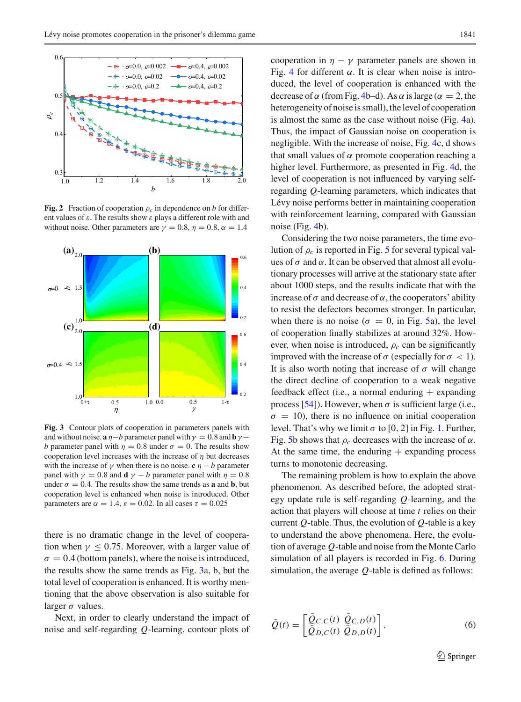

<span id="page-4-0"></span>**Fig. 2** Fraction of cooperation  $\rho_c$  in dependence on *b* for different values of  $\varepsilon$ . The results show  $\varepsilon$  plays a different role with and without noise. Other parameters are  $\gamma = 0.8$ ,  $\eta = 0.8$ ,  $\alpha = 1.4$ 



<span id="page-4-1"></span>**Fig. 3** Contour plots of cooperation in parameters panels with and without noise. **a**  $\eta$  − *b* parameter panel with  $\gamma$  = 0.8 and **b**  $\gamma$  − *b* parameter panel with  $\eta = 0.8$  under  $\sigma = 0$ . The results show cooperation level increases with the increase of  $\eta$  but decreases with the increase of  $\gamma$  when there is no noise. **c**  $\eta - b$  parameter panel with  $\gamma = 0.8$  and **d**  $\gamma - b$  parameter panel with  $\eta = 0.8$ under  $\sigma = 0.4$ . The results show the same trends as **a** and **b**, but cooperation level is enhanced when noise is introduced. Other parameters are  $\alpha = 1.4$ ,  $\varepsilon = 0.02$ . In all cases  $\tau = 0.025$ 

there is no dramatic change in the level of cooperation when  $\gamma \leq 0.75$ . Moreover, with a larger value of  $\sigma = 0.4$  (bottom panels), where the noise is introduced, the results show the same trends as Fig. [3a](#page-4-1), b, but the total level of cooperation is enhanced. It is worthy mentioning that the above observation is also suitable for larger  $\sigma$  values.

Next, in order to clearly understand the impact of noise and self-regarding *Q*-learning, contour plots of cooperation in  $\eta - \gamma$  parameter panels are shown in Fig. [4](#page-5-1) for different  $\alpha$ . It is clear when noise is introduced, the level of cooperation is enhanced with the decrease of  $\alpha$  (from Fig. [4b](#page-5-1)–d). As  $\alpha$  is large ( $\alpha = 2$ , the heterogeneity of noise is small), the level of cooperation is almost the same as the case without noise (Fig. [4a](#page-5-1)). Thus, the impact of Gaussian noise on cooperation is negligible. With the increase of noise, Fig. [4c](#page-5-1), d shows that small values of  $\alpha$  promote cooperation reaching a higher level. Furthermore, as presented in Fig. [4d](#page-5-1), the level of cooperation is not influenced by varying selfregarding *Q*-learning parameters, which indicates that Lévy noise performs better in maintaining cooperation with reinforcement learning, compared with Gaussian noise (Fig. [4b](#page-5-1)).

Considering the two noise parameters, the time evolution of  $\rho_c$  is reported in Fig. [5](#page-5-2) for several typical values of  $\sigma$  and  $\alpha$ . It can be observed that almost all evolutionary processes will arrive at the stationary state after about 1000 steps, and the results indicate that with the increase of  $\sigma$  and decrease of  $\alpha$ , the cooperators' ability to resist the defectors becomes stronger. In particular, when there is no noise ( $\sigma = 0$ , in Fig. [5a](#page-5-2)), the level of cooperation finally stabilizes at around 32%. However, when noise is introduced,  $\rho_c$  can be significantly improved with the increase of  $\sigma$  (especially for  $\sigma < 1$ ). It is also worth noting that increase of  $\sigma$  will change the direct decline of cooperation to a weak negative feedback effect (i.e., a normal enduring  $+$  expanding process [\[54\]](#page-8-23)). However, when  $\sigma$  is sufficient large (i.e.,  $\sigma = 10$ ), there is no influence on initial cooperation level. That's why we limit  $\sigma$  to [0, 2] in Fig. [1.](#page-3-1) Further, Fig. [5b](#page-5-2) shows that  $\rho_c$  decreases with the increase of  $\alpha$ . At the same time, the enduring  $+$  expanding process turns to monotonic decreasing.

The remaining problem is how to explain the above phenomenon. As described before, the adopted strategy update rule is self-regarding *Q*-learning, and the action that players will choose at time *t* relies on their current *Q*-table. Thus, the evolution of *Q*-table is a key to understand the above phenomena. Here, the evolution of average *Q*-table and noise from the Monte Carlo simulation of all players is recorded in Fig. [6.](#page-6-0) During simulation, the average *Q*-table is defined as follows:

$$
\bar{Q}(t) = \begin{bmatrix} \bar{Q}_{C,C}(t) & \bar{Q}_{C,D}(t) \\ \bar{Q}_{D,C}(t) & \bar{Q}_{D,D}(t) \end{bmatrix},\tag{6}
$$

 $\mathcal{D}$  Springer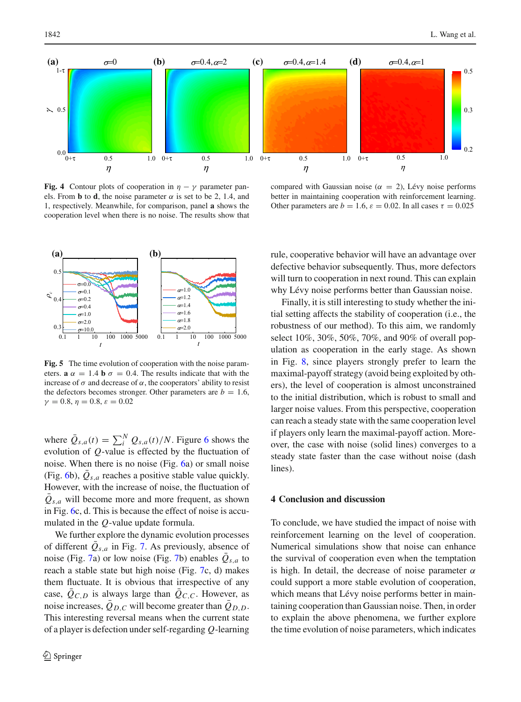

<span id="page-5-1"></span>**Fig. 4** Contour plots of cooperation in  $\eta - \gamma$  parameter panels. From **b** to **d**, the noise parameter  $\alpha$  is set to be 2, 1.4, and 1, respectively. Meanwhile, for comparison, panel **a** shows the cooperation level when there is no noise. The results show that



<span id="page-5-2"></span>**Fig. 5** The time evolution of cooperation with the noise parameters. **a**  $\alpha = 1.4$  **b**  $\sigma = 0.4$ . The results indicate that with the increase of  $\sigma$  and decrease of  $\alpha$ , the cooperators' ability to resist the defectors becomes stronger. Other parameters are  $b = 1.6$ ,  $\gamma = 0.8, \eta = 0.8, \varepsilon = 0.02$ 

where  $\bar{Q}_{s,a}(t) = \sum_{i}^{N} Q_{s,a}(t)/N$ . Figure [6](#page-6-0) shows the evolution of *Q*-value is effected by the fluctuation of noise. When there is no noise (Fig. [6a](#page-6-0)) or small noise (Fig. [6b](#page-6-0)),  $Q_{s,a}$  reaches a positive stable value quickly. However, with the increase of noise, the fluctuation of  $\overline{Q}_{s,a}$  will become more and more frequent, as shown in Fig. [6c](#page-6-0), d. This is because the effect of noise is accumulated in the *Q*-value update formula.

We further explore the dynamic evolution processes of different  $Q_{s,a}$  in Fig. [7.](#page-6-1) As previously, absence of noise (Fig. [7a](#page-6-1)) or low noise (Fig. [7b](#page-6-1)) enables  $\overline{Q}_{s,a}$  to reach a stable state but high noise (Fig. [7c](#page-6-1), d) makes them fluctuate. It is obvious that irrespective of any case,  $\overline{Q}_{C,D}$  is always large than  $\overline{Q}_{C,C}$ . However, as noise increases,  $\overline{Q}_{D,C}$  will become greater than  $\overline{Q}_{D,D}$ . This interesting reversal means when the current state of a player is defection under self-regarding *Q*-learning

compared with Gaussian noise ( $\alpha = 2$ ), Lévy noise performs better in maintaining cooperation with reinforcement learning. Other parameters are  $b = 1.6$ ,  $\varepsilon = 0.02$ . In all cases  $\tau = 0.025$ 

rule, cooperative behavior will have an advantage over defective behavior subsequently. Thus, more defectors will turn to cooperation in next round. This can explain why Lévy noise performs better than Gaussian noise.

Finally, it is still interesting to study whether the initial setting affects the stability of cooperation (i.e., the robustness of our method). To this aim, we randomly select 10%, 30%, 50%, 70%, and 90% of overall population as cooperation in the early stage. As shown in Fig. [8,](#page-7-17) since players strongly prefer to learn the maximal-payoff strategy (avoid being exploited by others), the level of cooperation is almost unconstrained to the initial distribution, which is robust to small and larger noise values. From this perspective, cooperation can reach a steady state with the same cooperation level if players only learn the maximal-payoff action. Moreover, the case with noise (solid lines) converges to a steady state faster than the case without noise (dash lines).

## <span id="page-5-0"></span>**4 Conclusion and discussion**

To conclude, we have studied the impact of noise with reinforcement learning on the level of cooperation. Numerical simulations show that noise can enhance the survival of cooperation even when the temptation is high. In detail, the decrease of noise parameter  $\alpha$ could support a more stable evolution of cooperation, which means that Lévy noise performs better in maintaining cooperation than Gaussian noise. Then, in order to explain the above phenomena, we further explore the time evolution of noise parameters, which indicates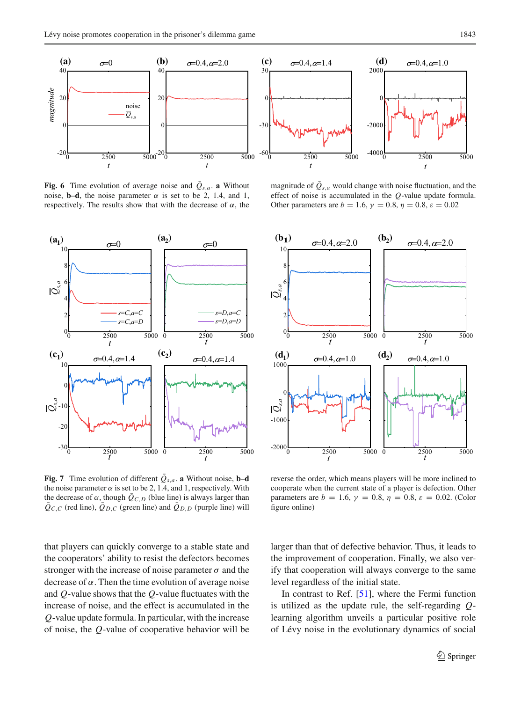

<span id="page-6-0"></span>**Fig. 6** Time evolution of average noise and  $Q_{s,a}$ . **a** Without noise, **b–d**, the noise parameter  $\alpha$  is set to be 2, 1.4, and 1, respectively. The results show that with the decrease of  $\alpha$ , the



<span id="page-6-1"></span>**Fig. 7** Time evolution of different  $\overline{Q}_{s,a}$ . **a** Without noise, **b–d** the noise parameter  $\alpha$  is set to be 2, 1.4, and 1, respectively. With the decrease of  $\alpha$ , though  $\overline{Q}_{C,D}$  (blue line) is always larger than  $Q_{C,C}$  (red line),  $Q_{D,C}$  (green line) and  $Q_{D,D}$  (purple line) will

that players can quickly converge to a stable state and the cooperators' ability to resist the defectors becomes stronger with the increase of noise parameter  $\sigma$  and the decrease of  $\alpha$ . Then the time evolution of average noise and *Q*-value shows that the *Q*-value fluctuates with the increase of noise, and the effect is accumulated in the *Q*-value update formula. In particular, with the increase of noise, the *Q*-value of cooperative behavior will be

magnitude of  $\overline{Q}_{s,a}$  would change with noise fluctuation, and the effect of noise is accumulated in the *Q*-value update formula. Other parameters are  $b = 1.6$ ,  $\gamma = 0.8$ ,  $\eta = 0.8$ ,  $\varepsilon = 0.02$ 



reverse the order, which means players will be more inclined to cooperate when the current state of a player is defection. Other parameters are  $b = 1.6$ ,  $\gamma = 0.8$ ,  $\eta = 0.8$ ,  $\varepsilon = 0.02$ . (Color figure online)

larger than that of defective behavior. Thus, it leads to the improvement of cooperation. Finally, we also verify that cooperation will always converge to the same level regardless of the initial state.

In contrast to Ref.  $[51]$  $[51]$ , where the Fermi function is utilized as the update rule, the self-regarding *Q*learning algorithm unveils a particular positive role of Lévy noise in the evolutionary dynamics of social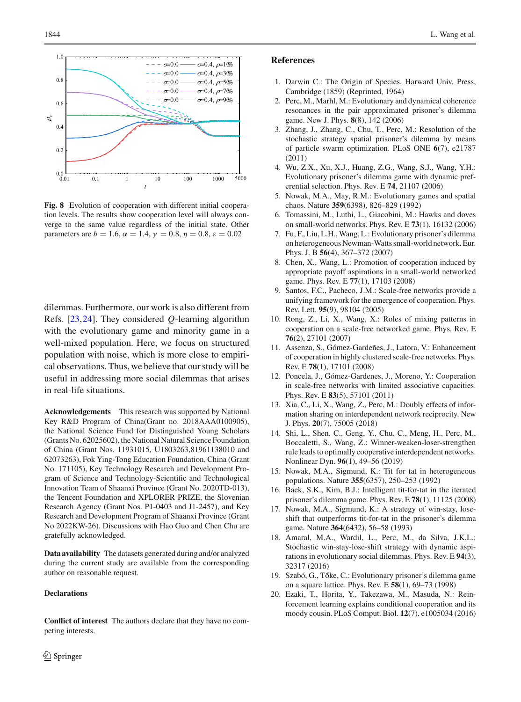



<span id="page-7-17"></span>**Fig. 8** Evolution of cooperation with different initial cooperation levels. The results show cooperation level will always converge to the same value regardless of the initial state. Other parameters are  $b = 1.6$ ,  $\alpha = 1.4$ ,  $\gamma = 0.8$ ,  $\eta = 0.8$ ,  $\varepsilon = 0.02$ 

dilemmas. Furthermore, our work is also different from Refs. [\[23,](#page-8-1)[24\]](#page-8-2). They considered *Q*-learning algorithm with the evolutionary game and minority game in a well-mixed population. Here, we focus on structured population with noise, which is more close to empirical observations. Thus, we believe that our study will be useful in addressing more social dilemmas that arises in real-life situations.

**Acknowledgements** This research was supported by National Key R&D Program of China(Grant no. 2018AAA0100905), the National Science Fund for Distinguished Young Scholars (Grants No. 62025602), the National Natural Science Foundation of China (Grant Nos. 11931015, U1803263,81961138010 and 62073263), Fok Ying-Tong Education Foundation, China (Grant No. 171105), Key Technology Research and Development Program of Science and Technology-Scientific and Technological Innovation Team of Shaanxi Province (Grant No. 2020TD-013), the Tencent Foundation and XPLORER PRIZE, the Slovenian Research Agency (Grant Nos. P1-0403 and J1-2457), and Key Research and Development Program of Shaanxi Province (Grant No 2022KW-26). Discussions with Hao Guo and Chen Chu are gratefully acknowledged.

**Data availability** The datasets generated during and/or analyzed during the current study are available from the corresponding author on reasonable request.

#### **Declarations**

**Conflict of interest** The authors declare that they have no competing interests.

### **References**

- <span id="page-7-0"></span>1. Darwin C.: The Origin of Species. Harward Univ. Press, Cambridge (1859) (Reprinted, 1964)
- <span id="page-7-1"></span>2. Perc, M., Marhl, M.: Evolutionary and dynamical coherence resonances in the pair approximated prisoner's dilemma game. New J. Phys. **8**(8), 142 (2006)
- <span id="page-7-2"></span>3. Zhang, J., Zhang, C., Chu, T., Perc, M.: Resolution of the stochastic strategy spatial prisoner's dilemma by means of particle swarm optimization. PLoS ONE **6**(7), e21787 (2011)
- <span id="page-7-3"></span>4. Wu, Z.X., Xu, X.J., Huang, Z.G., Wang, S.J., Wang, Y.H.: Evolutionary prisoner's dilemma game with dynamic preferential selection. Phys. Rev. E **74**, 21107 (2006)
- <span id="page-7-4"></span>5. Nowak, M.A., May, R.M.: Evolutionary games and spatial chaos. Nature **359**(6398), 826–829 (1992)
- <span id="page-7-5"></span>6. Tomassini, M., Luthi, L., Giacobini, M.: Hawks and doves on small-world networks. Phys. Rev. E **73**(1), 16132 (2006)
- 7. Fu, F., Liu, L.H., Wang, L.: Evolutionary prisoner's dilemma on heterogeneous Newman-Watts small-world network. Eur. Phys. J. B **56**(4), 367–372 (2007)
- <span id="page-7-6"></span>8. Chen, X., Wang, L.: Promotion of cooperation induced by appropriate payoff aspirations in a small-world networked game. Phys. Rev. E **77**(1), 17103 (2008)
- <span id="page-7-7"></span>9. Santos, F.C., Pacheco, J.M.: Scale-free networks provide a unifying framework for the emergence of cooperation. Phys. Rev. Lett. **95**(9), 98104 (2005)
- 10. Rong, Z., Li, X., Wang, X.: Roles of mixing patterns in cooperation on a scale-free networked game. Phys. Rev. E **76**(2), 27101 (2007)
- 11. Assenza, S., Gómez-Gardeñes, J., Latora, V.: Enhancement of cooperation in highly clustered scale-free networks. Phys. Rev. E **78**(1), 17101 (2008)
- <span id="page-7-8"></span>12. Poncela, J., Gómez-Gardenes, J., Moreno, Y.: Cooperation in scale-free networks with limited associative capacities. Phys. Rev. E **83**(5), 57101 (2011)
- <span id="page-7-9"></span>13. Xia, C., Li, X., Wang, Z., Perc, M.: Doubly effects of information sharing on interdependent network reciprocity. New J. Phys. **20**(7), 75005 (2018)
- <span id="page-7-10"></span>14. Shi, L., Shen, C., Geng, Y., Chu, C., Meng, H., Perc, M., Boccaletti, S., Wang, Z.: Winner-weaken-loser-strengthen rule leads to optimally cooperative interdependent networks. Nonlinear Dyn. **96**(1), 49–56 (2019)
- <span id="page-7-11"></span>15. Nowak, M.A., Sigmund, K.: Tit for tat in heterogeneous populations. Nature **355**(6357), 250–253 (1992)
- <span id="page-7-12"></span>16. Baek, S.K., Kim, B.J.: Intelligent tit-for-tat in the iterated prisoner's dilemma game. Phys. Rev. E **78**(1), 11125 (2008)
- <span id="page-7-13"></span>17. Nowak, M.A., Sigmund, K.: A strategy of win-stay, loseshift that outperforms tit-for-tat in the prisoner's dilemma game. Nature **364**(6432), 56–58 (1993)
- <span id="page-7-14"></span>18. Amaral, M.A., Wardil, L., Perc, M., da Silva, J.K.L.: Stochastic win-stay-lose-shift strategy with dynamic aspirations in evolutionary social dilemmas. Phys. Rev. E **94**(3), 32317 (2016)
- <span id="page-7-15"></span>19. Szabó, G., Tőke, C.: Evolutionary prisoner's dilemma game on a square lattice. Phys. Rev. E **58**(1), 69–73 (1998)
- <span id="page-7-16"></span>20. Ezaki, T., Horita, Y., Takezawa, M., Masuda, N.: Reinforcement learning explains conditional cooperation and its moody cousin. PLoS Comput. Biol. **12**(7), e1005034 (2016)